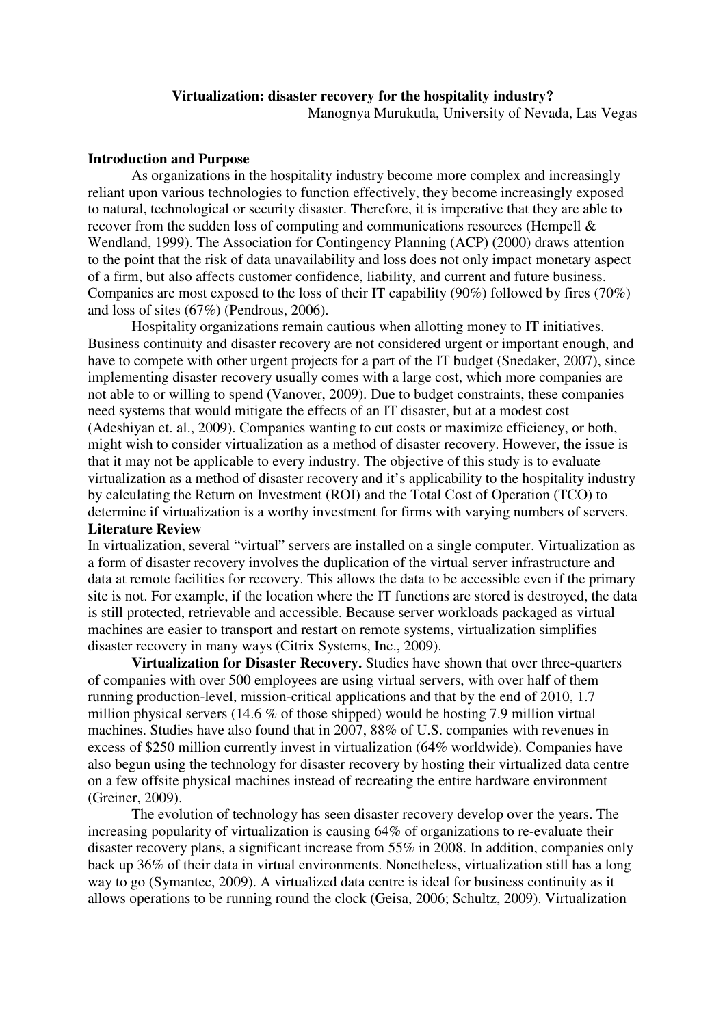# **Virtualization: disaster recovery for the hospitality industry?**

Manognya Murukutla, University of Nevada, Las Vegas

## **Introduction and Purpose**

As organizations in the hospitality industry become more complex and increasingly reliant upon various technologies to function effectively, they become increasingly exposed to natural, technological or security disaster. Therefore, it is imperative that they are able to recover from the sudden loss of computing and communications resources (Hempell & Wendland, 1999). The Association for Contingency Planning (ACP) (2000) draws attention to the point that the risk of data unavailability and loss does not only impact monetary aspect of a firm, but also affects customer confidence, liability, and current and future business. Companies are most exposed to the loss of their IT capability (90%) followed by fires (70%) and loss of sites (67%) (Pendrous, 2006).

Hospitality organizations remain cautious when allotting money to IT initiatives. Business continuity and disaster recovery are not considered urgent or important enough, and have to compete with other urgent projects for a part of the IT budget (Snedaker, 2007), since implementing disaster recovery usually comes with a large cost, which more companies are not able to or willing to spend (Vanover, 2009). Due to budget constraints, these companies need systems that would mitigate the effects of an IT disaster, but at a modest cost (Adeshiyan et. al., 2009). Companies wanting to cut costs or maximize efficiency, or both, might wish to consider virtualization as a method of disaster recovery. However, the issue is that it may not be applicable to every industry. The objective of this study is to evaluate virtualization as a method of disaster recovery and it's applicability to the hospitality industry by calculating the Return on Investment (ROI) and the Total Cost of Operation (TCO) to determine if virtualization is a worthy investment for firms with varying numbers of servers.

# **Literature Review**

In virtualization, several "virtual" servers are installed on a single computer. Virtualization as a form of disaster recovery involves the duplication of the virtual server infrastructure and data at remote facilities for recovery. This allows the data to be accessible even if the primary site is not. For example, if the location where the IT functions are stored is destroyed, the data is still protected, retrievable and accessible. Because server workloads packaged as virtual machines are easier to transport and restart on remote systems, virtualization simplifies disaster recovery in many ways (Citrix Systems, Inc., 2009).

**Virtualization for Disaster Recovery.** Studies have shown that over three-quarters of companies with over 500 employees are using virtual servers, with over half of them running production-level, mission-critical applications and that by the end of 2010, 1.7 million physical servers (14.6 % of those shipped) would be hosting 7.9 million virtual machines. Studies have also found that in 2007, 88% of U.S. companies with revenues in excess of \$250 million currently invest in virtualization (64% worldwide). Companies have also begun using the technology for disaster recovery by hosting their virtualized data centre on a few offsite physical machines instead of recreating the entire hardware environment (Greiner, 2009).

The evolution of technology has seen disaster recovery develop over the years. The increasing popularity of virtualization is causing 64% of organizations to re-evaluate their disaster recovery plans, a significant increase from 55% in 2008. In addition, companies only back up 36% of their data in virtual environments. Nonetheless, virtualization still has a long way to go (Symantec, 2009). A virtualized data centre is ideal for business continuity as it allows operations to be running round the clock (Geisa, 2006; Schultz, 2009). Virtualization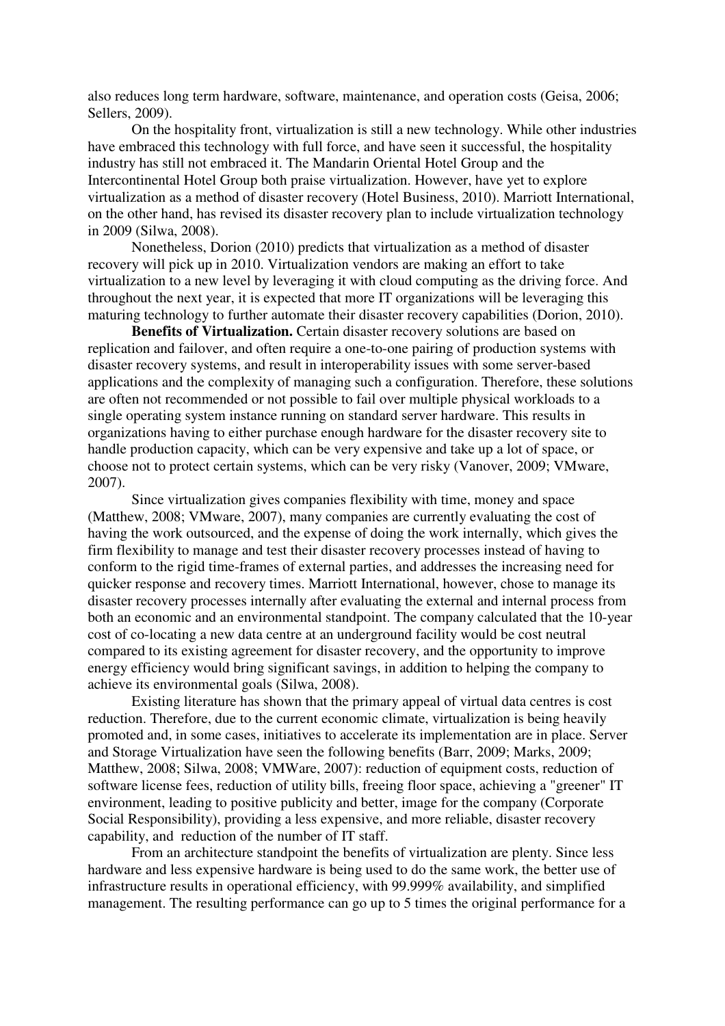also reduces long term hardware, software, maintenance, and operation costs (Geisa, 2006; Sellers, 2009).

On the hospitality front, virtualization is still a new technology. While other industries have embraced this technology with full force, and have seen it successful, the hospitality industry has still not embraced it. The Mandarin Oriental Hotel Group and the Intercontinental Hotel Group both praise virtualization. However, have yet to explore virtualization as a method of disaster recovery (Hotel Business, 2010). Marriott International, on the other hand, has revised its disaster recovery plan to include virtualization technology in 2009 (Silwa, 2008).

Nonetheless, Dorion (2010) predicts that virtualization as a method of disaster recovery will pick up in 2010. Virtualization vendors are making an effort to take virtualization to a new level by leveraging it with cloud computing as the driving force. And throughout the next year, it is expected that more IT organizations will be leveraging this maturing technology to further automate their disaster recovery capabilities (Dorion, 2010).

**Benefits of Virtualization.** Certain disaster recovery solutions are based on replication and failover, and often require a one-to-one pairing of production systems with disaster recovery systems, and result in interoperability issues with some server-based applications and the complexity of managing such a configuration. Therefore, these solutions are often not recommended or not possible to fail over multiple physical workloads to a single operating system instance running on standard server hardware. This results in organizations having to either purchase enough hardware for the disaster recovery site to handle production capacity, which can be very expensive and take up a lot of space, or choose not to protect certain systems, which can be very risky (Vanover, 2009; VMware, 2007).

Since virtualization gives companies flexibility with time, money and space (Matthew, 2008; VMware, 2007), many companies are currently evaluating the cost of having the work outsourced, and the expense of doing the work internally, which gives the firm flexibility to manage and test their disaster recovery processes instead of having to conform to the rigid time-frames of external parties, and addresses the increasing need for quicker response and recovery times. Marriott International, however, chose to manage its disaster recovery processes internally after evaluating the external and internal process from both an economic and an environmental standpoint. The company calculated that the 10-year cost of co-locating a new data centre at an underground facility would be cost neutral compared to its existing agreement for disaster recovery, and the opportunity to improve energy efficiency would bring significant savings, in addition to helping the company to achieve its environmental goals (Silwa, 2008).

Existing literature has shown that the primary appeal of virtual data centres is cost reduction. Therefore, due to the current economic climate, virtualization is being heavily promoted and, in some cases, initiatives to accelerate its implementation are in place. Server and Storage Virtualization have seen the following benefits (Barr, 2009; Marks, 2009; Matthew, 2008; Silwa, 2008; VMWare, 2007): reduction of equipment costs, reduction of software license fees, reduction of utility bills, freeing floor space, achieving a "greener" IT environment, leading to positive publicity and better, image for the company (Corporate Social Responsibility), providing a less expensive, and more reliable, disaster recovery capability, and reduction of the number of IT staff.

From an architecture standpoint the benefits of virtualization are plenty. Since less hardware and less expensive hardware is being used to do the same work, the better use of infrastructure results in operational efficiency, with 99.999% availability, and simplified management. The resulting performance can go up to 5 times the original performance for a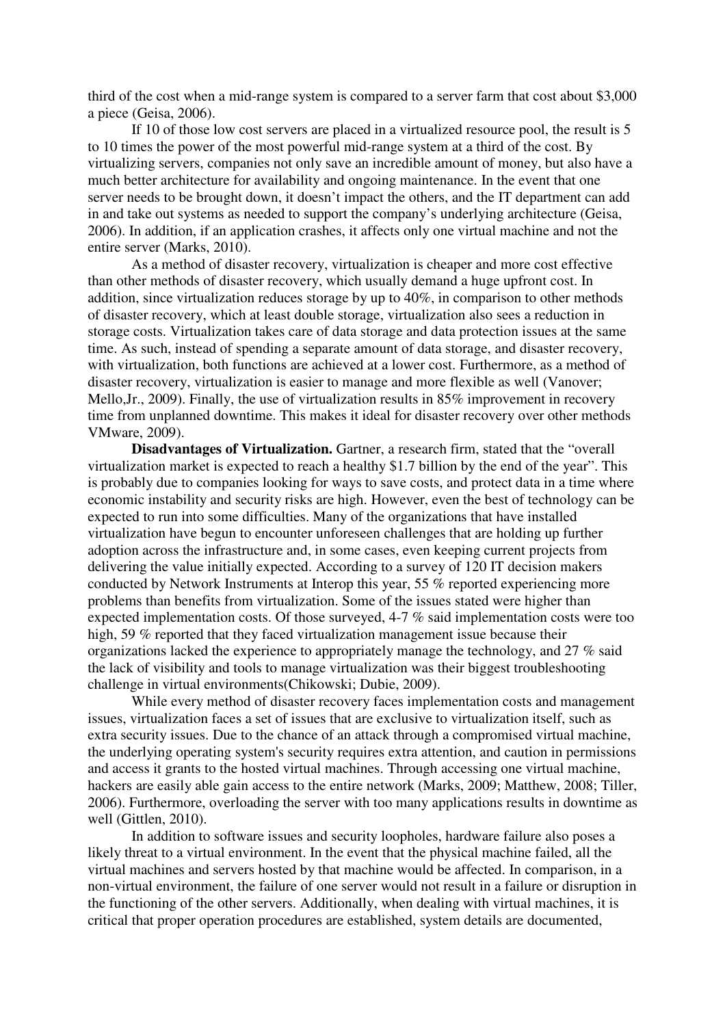third of the cost when a mid-range system is compared to a server farm that cost about \$3,000 a piece (Geisa, 2006).

If 10 of those low cost servers are placed in a virtualized resource pool, the result is 5 to 10 times the power of the most powerful mid-range system at a third of the cost. By virtualizing servers, companies not only save an incredible amount of money, but also have a much better architecture for availability and ongoing maintenance. In the event that one server needs to be brought down, it doesn't impact the others, and the IT department can add in and take out systems as needed to support the company's underlying architecture (Geisa, 2006). In addition, if an application crashes, it affects only one virtual machine and not the entire server (Marks, 2010).

As a method of disaster recovery, virtualization is cheaper and more cost effective than other methods of disaster recovery, which usually demand a huge upfront cost. In addition, since virtualization reduces storage by up to 40%, in comparison to other methods of disaster recovery, which at least double storage, virtualization also sees a reduction in storage costs. Virtualization takes care of data storage and data protection issues at the same time. As such, instead of spending a separate amount of data storage, and disaster recovery, with virtualization, both functions are achieved at a lower cost. Furthermore, as a method of disaster recovery, virtualization is easier to manage and more flexible as well (Vanover; Mello,Jr., 2009). Finally, the use of virtualization results in 85% improvement in recovery time from unplanned downtime. This makes it ideal for disaster recovery over other methods VMware, 2009).

**Disadvantages of Virtualization.** Gartner, a research firm, stated that the "overall virtualization market is expected to reach a healthy \$1.7 billion by the end of the year". This is probably due to companies looking for ways to save costs, and protect data in a time where economic instability and security risks are high. However, even the best of technology can be expected to run into some difficulties. Many of the organizations that have installed virtualization have begun to encounter unforeseen challenges that are holding up further adoption across the infrastructure and, in some cases, even keeping current projects from delivering the value initially expected. According to a survey of 120 IT decision makers conducted by Network Instruments at Interop this year, 55 % reported experiencing more problems than benefits from virtualization. Some of the issues stated were higher than expected implementation costs. Of those surveyed, 4-7 % said implementation costs were too high, 59 % reported that they faced virtualization management issue because their organizations lacked the experience to appropriately manage the technology, and 27 % said the lack of visibility and tools to manage virtualization was their biggest troubleshooting challenge in virtual environments(Chikowski; Dubie, 2009).

While every method of disaster recovery faces implementation costs and management issues, virtualization faces a set of issues that are exclusive to virtualization itself, such as extra security issues. Due to the chance of an attack through a compromised virtual machine, the underlying operating system's security requires extra attention, and caution in permissions and access it grants to the hosted virtual machines. Through accessing one virtual machine, hackers are easily able gain access to the entire network (Marks, 2009; Matthew, 2008; Tiller, 2006). Furthermore, overloading the server with too many applications results in downtime as well (Gittlen, 2010).

In addition to software issues and security loopholes, hardware failure also poses a likely threat to a virtual environment. In the event that the physical machine failed, all the virtual machines and servers hosted by that machine would be affected. In comparison, in a non-virtual environment, the failure of one server would not result in a failure or disruption in the functioning of the other servers. Additionally, when dealing with virtual machines, it is critical that proper operation procedures are established, system details are documented,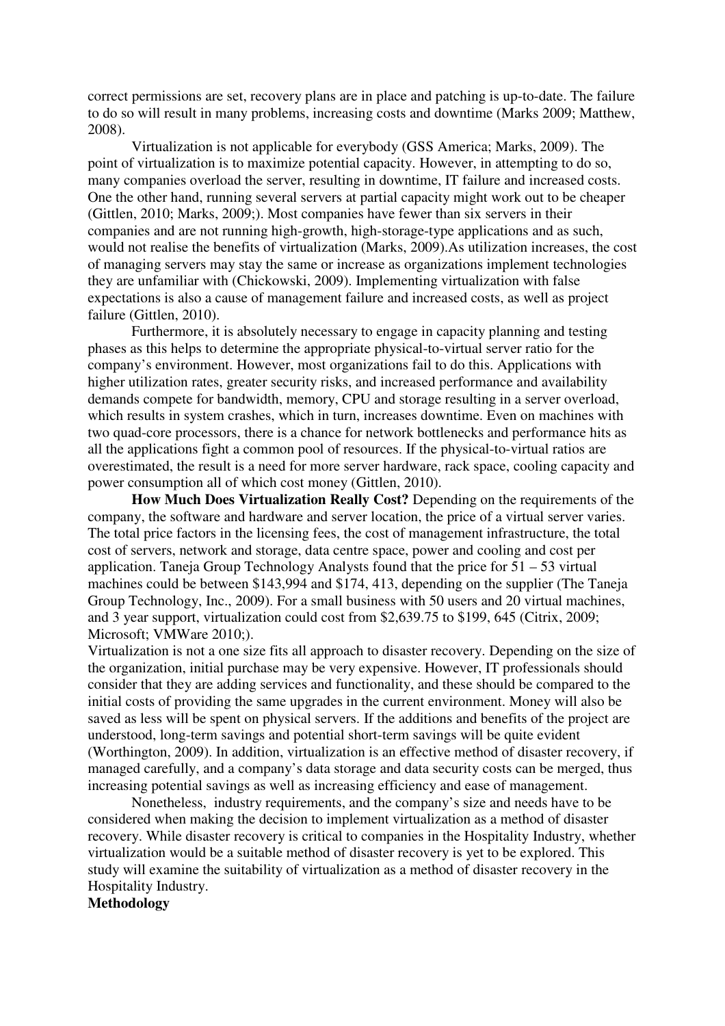correct permissions are set, recovery plans are in place and patching is up-to-date. The failure to do so will result in many problems, increasing costs and downtime (Marks 2009; Matthew, 2008).

Virtualization is not applicable for everybody (GSS America; Marks, 2009). The point of virtualization is to maximize potential capacity. However, in attempting to do so, many companies overload the server, resulting in downtime, IT failure and increased costs. One the other hand, running several servers at partial capacity might work out to be cheaper (Gittlen, 2010; Marks, 2009;). Most companies have fewer than six servers in their companies and are not running high-growth, high-storage-type applications and as such, would not realise the benefits of virtualization (Marks, 2009).As utilization increases, the cost of managing servers may stay the same or increase as organizations implement technologies they are unfamiliar with (Chickowski, 2009). Implementing virtualization with false expectations is also a cause of management failure and increased costs, as well as project failure (Gittlen, 2010).

Furthermore, it is absolutely necessary to engage in capacity planning and testing phases as this helps to determine the appropriate physical-to-virtual server ratio for the company's environment. However, most organizations fail to do this. Applications with higher utilization rates, greater security risks, and increased performance and availability demands compete for bandwidth, memory, CPU and storage resulting in a server overload, which results in system crashes, which in turn, increases downtime. Even on machines with two quad-core processors, there is a chance for network bottlenecks and performance hits as all the applications fight a common pool of resources. If the physical-to-virtual ratios are overestimated, the result is a need for more server hardware, rack space, cooling capacity and power consumption all of which cost money (Gittlen, 2010).

**How Much Does Virtualization Really Cost?** Depending on the requirements of the company, the software and hardware and server location, the price of a virtual server varies. The total price factors in the licensing fees, the cost of management infrastructure, the total cost of servers, network and storage, data centre space, power and cooling and cost per application. Taneja Group Technology Analysts found that the price for  $51 - 53$  virtual machines could be between \$143,994 and \$174, 413, depending on the supplier (The Taneja Group Technology, Inc., 2009). For a small business with 50 users and 20 virtual machines, and 3 year support, virtualization could cost from \$2,639.75 to \$199, 645 (Citrix, 2009; Microsoft; VMWare 2010;).

Virtualization is not a one size fits all approach to disaster recovery. Depending on the size of the organization, initial purchase may be very expensive. However, IT professionals should consider that they are adding services and functionality, and these should be compared to the initial costs of providing the same upgrades in the current environment. Money will also be saved as less will be spent on physical servers. If the additions and benefits of the project are understood, long-term savings and potential short-term savings will be quite evident (Worthington, 2009). In addition, virtualization is an effective method of disaster recovery, if managed carefully, and a company's data storage and data security costs can be merged, thus increasing potential savings as well as increasing efficiency and ease of management.

Nonetheless, industry requirements, and the company's size and needs have to be considered when making the decision to implement virtualization as a method of disaster recovery. While disaster recovery is critical to companies in the Hospitality Industry, whether virtualization would be a suitable method of disaster recovery is yet to be explored. This study will examine the suitability of virtualization as a method of disaster recovery in the Hospitality Industry.

**Methodology**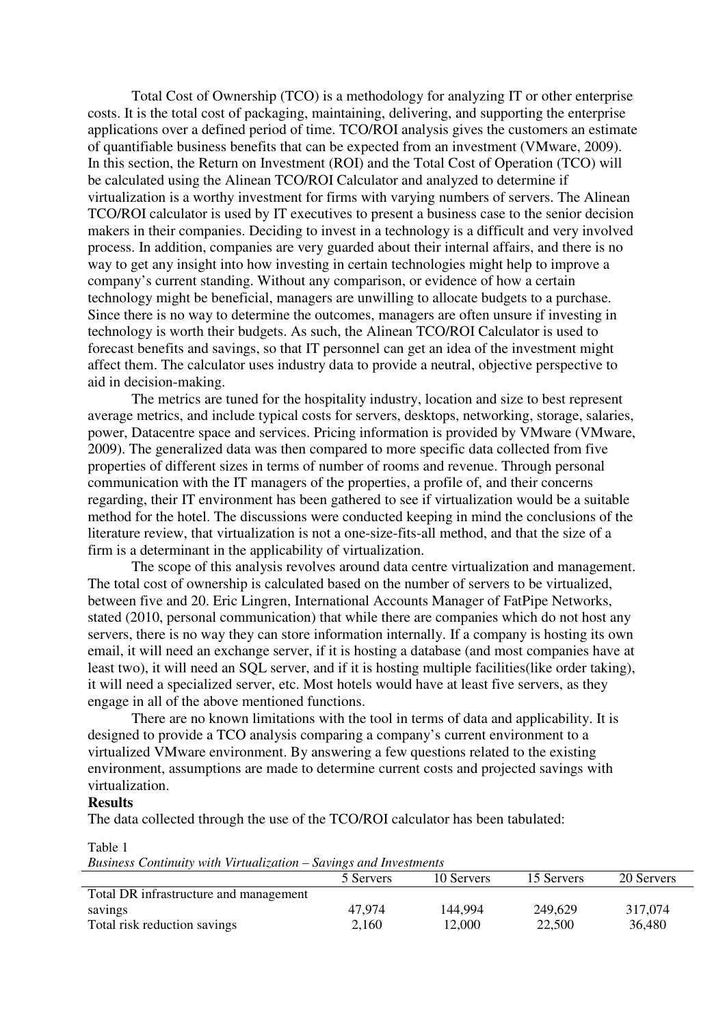Total Cost of Ownership (TCO) is a methodology for analyzing IT or other enterprise costs. It is the total cost of packaging, maintaining, delivering, and supporting the enterprise applications over a defined period of time. TCO/ROI analysis gives the customers an estimate of quantifiable business benefits that can be expected from an investment (VMware, 2009). In this section, the Return on Investment (ROI) and the Total Cost of Operation (TCO) will be calculated using the Alinean TCO/ROI Calculator and analyzed to determine if virtualization is a worthy investment for firms with varying numbers of servers. The Alinean TCO/ROI calculator is used by IT executives to present a business case to the senior decision makers in their companies. Deciding to invest in a technology is a difficult and very involved process. In addition, companies are very guarded about their internal affairs, and there is no way to get any insight into how investing in certain technologies might help to improve a company's current standing. Without any comparison, or evidence of how a certain technology might be beneficial, managers are unwilling to allocate budgets to a purchase. Since there is no way to determine the outcomes, managers are often unsure if investing in technology is worth their budgets. As such, the Alinean TCO/ROI Calculator is used to forecast benefits and savings, so that IT personnel can get an idea of the investment might affect them. The calculator uses industry data to provide a neutral, objective perspective to aid in decision-making.

The metrics are tuned for the hospitality industry, location and size to best represent average metrics, and include typical costs for servers, desktops, networking, storage, salaries, power, Datacentre space and services. Pricing information is provided by VMware (VMware, 2009). The generalized data was then compared to more specific data collected from five properties of different sizes in terms of number of rooms and revenue. Through personal communication with the IT managers of the properties, a profile of, and their concerns regarding, their IT environment has been gathered to see if virtualization would be a suitable method for the hotel. The discussions were conducted keeping in mind the conclusions of the literature review, that virtualization is not a one-size-fits-all method, and that the size of a firm is a determinant in the applicability of virtualization.

The scope of this analysis revolves around data centre virtualization and management. The total cost of ownership is calculated based on the number of servers to be virtualized, between five and 20. Eric Lingren, International Accounts Manager of FatPipe Networks, stated (2010, personal communication) that while there are companies which do not host any servers, there is no way they can store information internally. If a company is hosting its own email, it will need an exchange server, if it is hosting a database (and most companies have at least two), it will need an SQL server, and if it is hosting multiple facilities(like order taking), it will need a specialized server, etc. Most hotels would have at least five servers, as they engage in all of the above mentioned functions.

There are no known limitations with the tool in terms of data and applicability. It is designed to provide a TCO analysis comparing a company's current environment to a virtualized VMware environment. By answering a few questions related to the existing environment, assumptions are made to determine current costs and projected savings with virtualization.

#### **Results**

The data collected through the use of the TCO/ROI calculator has been tabulated:

#### Table 1

*Business Continuity with Virtualization – Savings and Investments* 

|                                        | 5 Servers | 10 Servers | 15 Servers | 20 Servers |
|----------------------------------------|-----------|------------|------------|------------|
| Total DR infrastructure and management |           |            |            |            |
| savings                                | 47.974    | 144,994    | 249,629    | 317,074    |
| Total risk reduction savings           | 2,160     | 12,000     | 22,500     | 36,480     |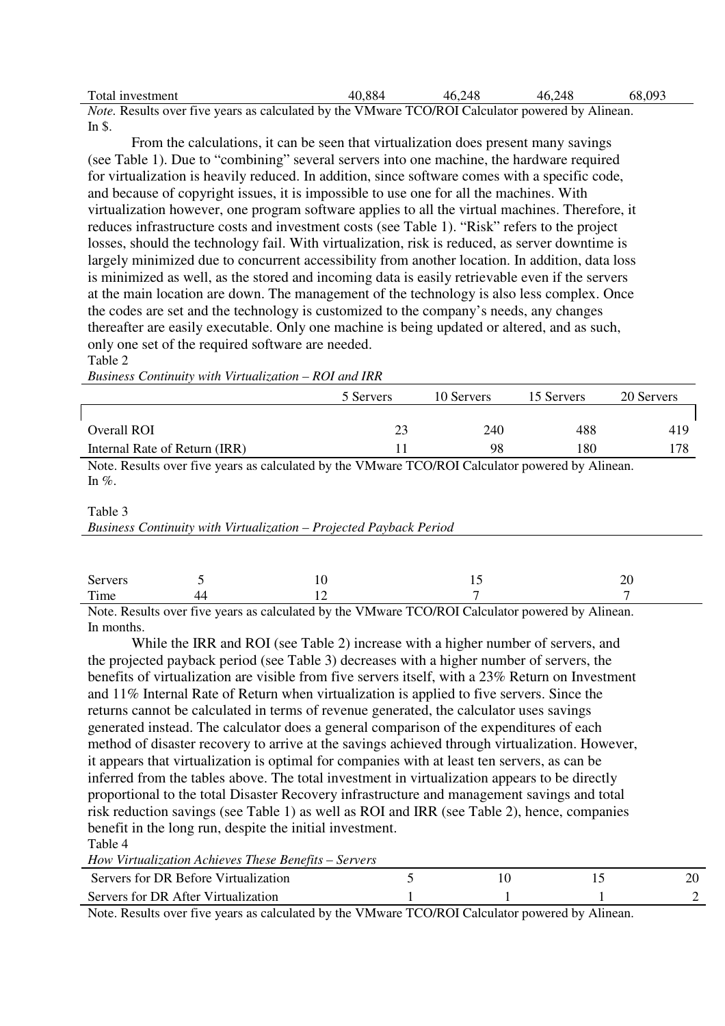| Total investment                                                                                        | 40.884 | 46,248 | 46,248 | 68,093 |
|---------------------------------------------------------------------------------------------------------|--------|--------|--------|--------|
| <i>Note.</i> Results over five years as calculated by the VMware TCO/ROI Calculator powered by Alinean. |        |        |        |        |

In \$.

From the calculations, it can be seen that virtualization does present many savings (see Table 1). Due to "combining" several servers into one machine, the hardware required for virtualization is heavily reduced. In addition, since software comes with a specific code, and because of copyright issues, it is impossible to use one for all the machines. With virtualization however, one program software applies to all the virtual machines. Therefore, it reduces infrastructure costs and investment costs (see Table 1). "Risk" refers to the project losses, should the technology fail. With virtualization, risk is reduced, as server downtime is largely minimized due to concurrent accessibility from another location. In addition, data loss is minimized as well, as the stored and incoming data is easily retrievable even if the servers at the main location are down. The management of the technology is also less complex. Once the codes are set and the technology is customized to the company's needs, any changes thereafter are easily executable. Only one machine is being updated or altered, and as such, only one set of the required software are needed. Table 2

|                                                                                                               | 5 Servers | 10 Servers | 15 Servers | 20 Servers |  |
|---------------------------------------------------------------------------------------------------------------|-----------|------------|------------|------------|--|
|                                                                                                               |           |            |            |            |  |
| Overall ROI                                                                                                   | 23        | 240        | 488        | 419        |  |
| Internal Rate of Return (IRR)                                                                                 | 11        | 98         | 180        | 178        |  |
| Note. Results over five years as calculated by the VMware TCO/ROI Calculator powered by Alinean.<br>In $\%$ . |           |            |            |            |  |
| Table 3<br>Business Continuity with Virtualization – Projected Payback Period                                 |           |            |            |            |  |

*Business Continuity with Virtualization – ROI and IRR*

| Servers |       | $\sim$ $\sim$ | $\overline{\phantom{0}}$ | ົ<br>$\angle U$ |
|---------|-------|---------------|--------------------------|-----------------|
| Time    | (1/1) | . .           |                          | -               |

Note. Results over five years as calculated by the VMware TCO/ROI Calculator powered by Alinean. In months.

While the IRR and ROI (see Table 2) increase with a higher number of servers, and the projected payback period (see Table 3) decreases with a higher number of servers, the benefits of virtualization are visible from five servers itself, with a 23% Return on Investment and 11% Internal Rate of Return when virtualization is applied to five servers. Since the returns cannot be calculated in terms of revenue generated, the calculator uses savings generated instead. The calculator does a general comparison of the expenditures of each method of disaster recovery to arrive at the savings achieved through virtualization. However, it appears that virtualization is optimal for companies with at least ten servers, as can be inferred from the tables above. The total investment in virtualization appears to be directly proportional to the total Disaster Recovery infrastructure and management savings and total risk reduction savings (see Table 1) as well as ROI and IRR (see Table 2), hence, companies benefit in the long run, despite the initial investment. Table 4

*How Virtualization Achieves These Benefits – Servers*

| Servers for DR Before Virtualization |  |  |
|--------------------------------------|--|--|
| Servers for DR After Virtualization  |  |  |

Note. Results over five years as calculated by the VMware TCO/ROI Calculator powered by Alinean.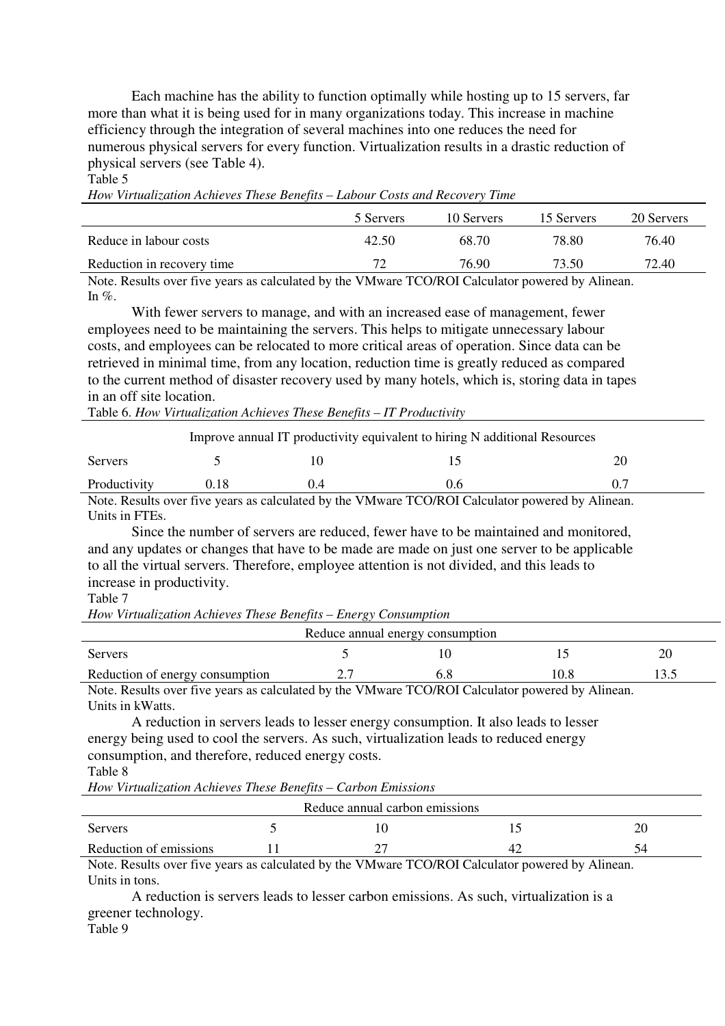Each machine has the ability to function optimally while hosting up to 15 servers, far more than what it is being used for in many organizations today. This increase in machine efficiency through the integration of several machines into one reduces the need for numerous physical servers for every function. Virtualization results in a drastic reduction of physical servers (see Table 4).

Table 5

*How Virtualization Achieves These Benefits – Labour Costs and Recovery Time*

|                            | 5 Servers | 10 Servers | 15 Servers | 20 Servers |
|----------------------------|-----------|------------|------------|------------|
| Reduce in labour costs     | 42.50     | 68.70      | 78.80      | 76.40      |
| Reduction in recovery time |           | 76.90      | 73.50      | 72.40      |

Note. Results over five years as calculated by the VMware TCO/ROI Calculator powered by Alinean. In  $\%$ .

With fewer servers to manage, and with an increased ease of management, fewer employees need to be maintaining the servers. This helps to mitigate unnecessary labour costs, and employees can be relocated to more critical areas of operation. Since data can be retrieved in minimal time, from any location, reduction time is greatly reduced as compared to the current method of disaster recovery used by many hotels, which is, storing data in tapes in an off site location.

Table 6. *How Virtualization Achieves These Benefits – IT Productivity*

| Improve annual IT productivity equivalent to hiring N additional Resources                     |  |  |     |  |  |  |
|------------------------------------------------------------------------------------------------|--|--|-----|--|--|--|
| Servers                                                                                        |  |  |     |  |  |  |
| Productivity                                                                                   |  |  | 0.6 |  |  |  |
| Note Results over five years as calculated by the VMware TCO/ROI Calculator powered by Alinean |  |  |     |  |  |  |

Note. Results over five years as calculated by the VMware TCO/ROI Calculator powered by Alinean. Units in FTEs.

Since the number of servers are reduced, fewer have to be maintained and monitored, and any updates or changes that have to be made are made on just one server to be applicable to all the virtual servers. Therefore, employee attention is not divided, and this leads to increase in productivity.

#### Table 7

*How Virtualization Achieves These Benefits – Energy Consumption* 

| Reduce annual energy consumption                                                                                                                                                                                                                                                                                                   |                      |             |                    |  |  |  |
|------------------------------------------------------------------------------------------------------------------------------------------------------------------------------------------------------------------------------------------------------------------------------------------------------------------------------------|----------------------|-------------|--------------------|--|--|--|
| Servers                                                                                                                                                                                                                                                                                                                            |                      |             |                    |  |  |  |
| Reduction of energy consumption                                                                                                                                                                                                                                                                                                    |                      |             |                    |  |  |  |
| $\mathbf{M}$ $\mathbf{N}$ $\mathbf{N}$ $\mathbf{N}$ $\mathbf{N}$ $\mathbf{N}$ $\mathbf{N}$ $\mathbf{N}$ $\mathbf{N}$ $\mathbf{N}$ $\mathbf{N}$ $\mathbf{N}$ $\mathbf{N}$ $\mathbf{N}$ $\mathbf{N}$ $\mathbf{N}$ $\mathbf{N}$ $\mathbf{N}$ $\mathbf{N}$ $\mathbf{N}$ $\mathbf{N}$ $\mathbf{N}$ $\mathbf{N}$ $\mathbf{N}$ $\mathbf{$ | $1.11.1$ $\sqrt{10}$ | TCAONCI 1 1 | $\lambda$ 1.<br>11 |  |  |  |

Note. Results over five years as calculated by the VMware TCO/ROI Calculator powered by Alinean. Units in kWatts.

A reduction in servers leads to lesser energy consumption. It also leads to lesser energy being used to cool the servers. As such, virtualization leads to reduced energy consumption, and therefore, reduced energy costs. Table 8

*How Virtualization Achieves These Benefits – Carbon Emissions*

| Reduce annual carbon emissions                      |  |                                                                                                                                                                                                                                                                                                                                                                                      |                      |          |  |  |
|-----------------------------------------------------|--|--------------------------------------------------------------------------------------------------------------------------------------------------------------------------------------------------------------------------------------------------------------------------------------------------------------------------------------------------------------------------------------|----------------------|----------|--|--|
| Servers                                             |  |                                                                                                                                                                                                                                                                                                                                                                                      |                      | 20       |  |  |
| Reduction of emissions                              |  |                                                                                                                                                                                                                                                                                                                                                                                      | 4 <sub>4</sub>       |          |  |  |
| $\mathbf{M}$ $\mathbf{N}$ $\mathbf{M}$ $\mathbf{M}$ |  | $\overline{1}$ $\overline{1}$ $\overline{1}$ $\overline{1}$ $\overline{1}$ $\overline{1}$ $\overline{1}$ $\overline{1}$ $\overline{1}$ $\overline{1}$ $\overline{1}$ $\overline{1}$ $\overline{1}$ $\overline{1}$ $\overline{1}$ $\overline{1}$ $\overline{1}$ $\overline{1}$ $\overline{1}$ $\overline{1}$ $\overline{1}$ $\overline{1}$ $\overline{1}$ $\overline{1}$ $\overline{$ | $T A \cap T A$<br>11 | $\cdots$ |  |  |

Note. Results over five years as calculated by the VMware TCO/ROI Calculator powered by Alinean. Units in tons.

A reduction is servers leads to lesser carbon emissions. As such, virtualization is a greener technology.

Table 9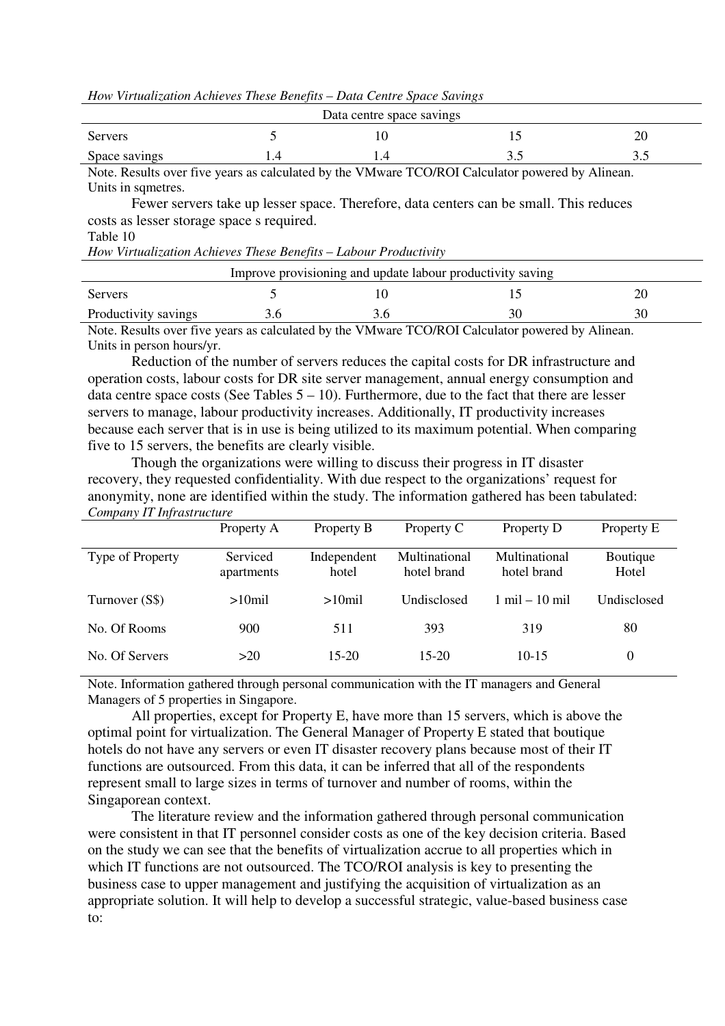*How Virtualization Achieves These Benefits – Data Centre Space Savings* 

|                        | Data centre space savings |                                                                                                                                                                                                                                                                                                                                                                                                                                                                                            |    |
|------------------------|---------------------------|--------------------------------------------------------------------------------------------------------------------------------------------------------------------------------------------------------------------------------------------------------------------------------------------------------------------------------------------------------------------------------------------------------------------------------------------------------------------------------------------|----|
| <b>Servers</b>         |                           |                                                                                                                                                                                                                                                                                                                                                                                                                                                                                            | 20 |
| Space savings          |                           | ن ر                                                                                                                                                                                                                                                                                                                                                                                                                                                                                        | ັ້ |
| $\mathbf{v}$<br>$\sim$ |                           | $\blacksquare$ $\blacksquare$ $\blacksquare$ $\blacksquare$ $\blacksquare$ $\blacksquare$ $\blacksquare$ $\blacksquare$ $\blacksquare$ $\blacksquare$ $\blacksquare$ $\blacksquare$ $\blacksquare$ $\blacksquare$ $\blacksquare$ $\blacksquare$ $\blacksquare$ $\blacksquare$ $\blacksquare$ $\blacksquare$ $\blacksquare$ $\blacksquare$ $\blacksquare$ $\blacksquare$ $\blacksquare$ $\blacksquare$ $\blacksquare$ $\blacksquare$ $\blacksquare$ $\blacksquare$ $\blacksquare$ $\blacks$ | .  |

Note. Results over five years as calculated by the VMware TCO/ROI Calculator powered by Alinean. Units in sqmetres.

Fewer servers take up lesser space. Therefore, data centers can be small. This reduces costs as lesser storage space s required.

# Table 10

*How Virtualization Achieves These Benefits – Labour Productivity* 

| Improve provisioning and update labour productivity saving |                   |  |                                |          |  |  |
|------------------------------------------------------------|-------------------|--|--------------------------------|----------|--|--|
| Servers                                                    |                   |  |                                |          |  |  |
| Productivity savings                                       |                   |  |                                |          |  |  |
| $\mathbf{M}$ $\mathbf{R}$                                  | $1 \t1 \t11 \t11$ |  | $T(A)$ $A$ $A$ $A$ $A$ $A$ $A$ | $\cdots$ |  |  |

Note. Results over five years as calculated by the VMware TCO/ROI Calculator powered by Alinean. Units in person hours/yr.

Reduction of the number of servers reduces the capital costs for DR infrastructure and operation costs, labour costs for DR site server management, annual energy consumption and data centre space costs (See Tables  $5 - 10$ ). Furthermore, due to the fact that there are lesser servers to manage, labour productivity increases. Additionally, IT productivity increases because each server that is in use is being utilized to its maximum potential. When comparing five to 15 servers, the benefits are clearly visible.

Though the organizations were willing to discuss their progress in IT disaster recovery, they requested confidentiality. With due respect to the organizations' request for anonymity, none are identified within the study. The information gathered has been tabulated: *Company IT Infrastructure*

|                  | Property A             | Property B           | Property C                   | Property D                       | Property E        |
|------------------|------------------------|----------------------|------------------------------|----------------------------------|-------------------|
| Type of Property | Serviced<br>apartments | Independent<br>hotel | Multinational<br>hotel brand | Multinational<br>hotel brand     | Boutique<br>Hotel |
| Turnover (S\$)   | $>10$ mil              | $>10$ mil            | Undisclosed                  | $1 \text{ mil} - 10 \text{ mil}$ | Undisclosed       |
| No. Of Rooms     | 900                    | 511                  | 393                          | 319                              | 80                |
| No. Of Servers   | >20                    | $15-20$              | $15-20$                      | $10-15$                          | $\theta$          |

Note. Information gathered through personal communication with the IT managers and General Managers of 5 properties in Singapore.

All properties, except for Property E, have more than 15 servers, which is above the optimal point for virtualization. The General Manager of Property E stated that boutique hotels do not have any servers or even IT disaster recovery plans because most of their IT functions are outsourced. From this data, it can be inferred that all of the respondents represent small to large sizes in terms of turnover and number of rooms, within the Singaporean context.

The literature review and the information gathered through personal communication were consistent in that IT personnel consider costs as one of the key decision criteria. Based on the study we can see that the benefits of virtualization accrue to all properties which in which IT functions are not outsourced. The TCO/ROI analysis is key to presenting the business case to upper management and justifying the acquisition of virtualization as an appropriate solution. It will help to develop a successful strategic, value-based business case  $t^{\alpha}$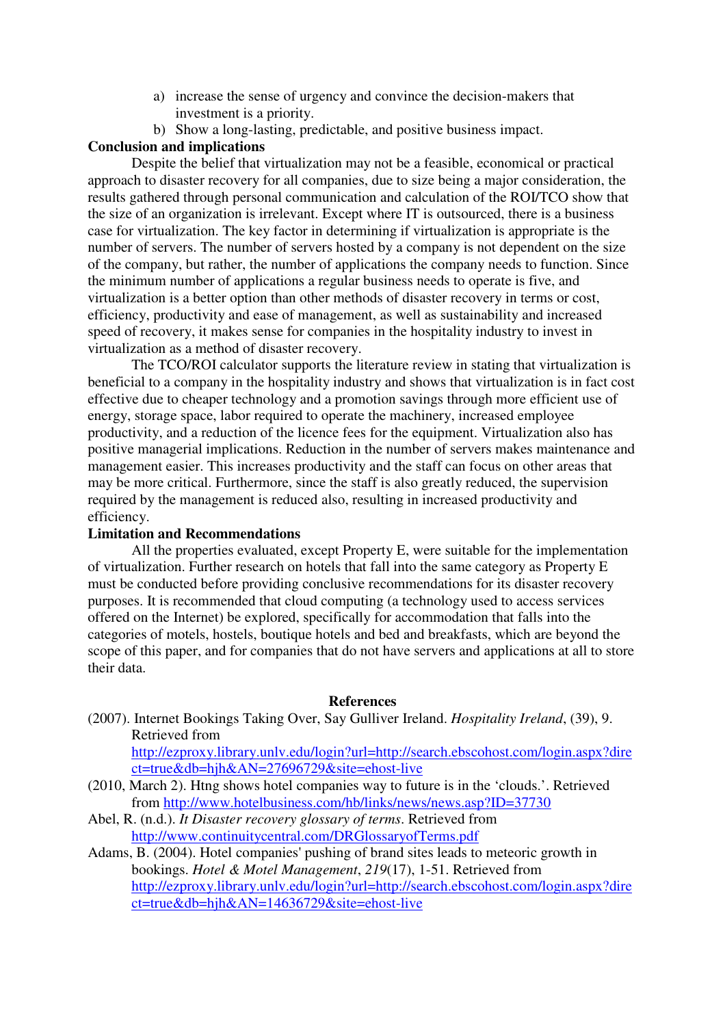- a) increase the sense of urgency and convince the decision-makers that investment is a priority.
- b) Show a long-lasting, predictable, and positive business impact.

# **Conclusion and implications**

Despite the belief that virtualization may not be a feasible, economical or practical approach to disaster recovery for all companies, due to size being a major consideration, the results gathered through personal communication and calculation of the ROI/TCO show that the size of an organization is irrelevant. Except where IT is outsourced, there is a business case for virtualization. The key factor in determining if virtualization is appropriate is the number of servers. The number of servers hosted by a company is not dependent on the size of the company, but rather, the number of applications the company needs to function. Since the minimum number of applications a regular business needs to operate is five, and virtualization is a better option than other methods of disaster recovery in terms or cost, efficiency, productivity and ease of management, as well as sustainability and increased speed of recovery, it makes sense for companies in the hospitality industry to invest in virtualization as a method of disaster recovery.

The TCO/ROI calculator supports the literature review in stating that virtualization is beneficial to a company in the hospitality industry and shows that virtualization is in fact cost effective due to cheaper technology and a promotion savings through more efficient use of energy, storage space, labor required to operate the machinery, increased employee productivity, and a reduction of the licence fees for the equipment. Virtualization also has positive managerial implications. Reduction in the number of servers makes maintenance and management easier. This increases productivity and the staff can focus on other areas that may be more critical. Furthermore, since the staff is also greatly reduced, the supervision required by the management is reduced also, resulting in increased productivity and efficiency.

# **Limitation and Recommendations**

All the properties evaluated, except Property E, were suitable for the implementation of virtualization. Further research on hotels that fall into the same category as Property E must be conducted before providing conclusive recommendations for its disaster recovery purposes. It is recommended that cloud computing (a technology used to access services offered on the Internet) be explored, specifically for accommodation that falls into the categories of motels, hostels, boutique hotels and bed and breakfasts, which are beyond the scope of this paper, and for companies that do not have servers and applications at all to store their data.

#### **References**

(2007). Internet Bookings Taking Over, Say Gulliver Ireland. *Hospitality Ireland*, (39), 9. Retrieved from

http://ezproxy.library.unlv.edu/login?url=http://search.ebscohost.com/login.aspx?dire ct=true&db=hjh&AN=27696729&site=ehost-live

- (2010, March 2). Htng shows hotel companies way to future is in the 'clouds.'. Retrieved from http://www.hotelbusiness.com/hb/links/news/news.asp?ID=37730
- Abel, R. (n.d.). *It Disaster recovery glossary of terms*. Retrieved from http://www.continuitycentral.com/DRGlossaryofTerms.pdf
- Adams, B. (2004). Hotel companies' pushing of brand sites leads to meteoric growth in bookings. *Hotel & Motel Management*, *219*(17), 1-51. Retrieved from http://ezproxy.library.unlv.edu/login?url=http://search.ebscohost.com/login.aspx?dire ct=true&db=hjh&AN=14636729&site=ehost-live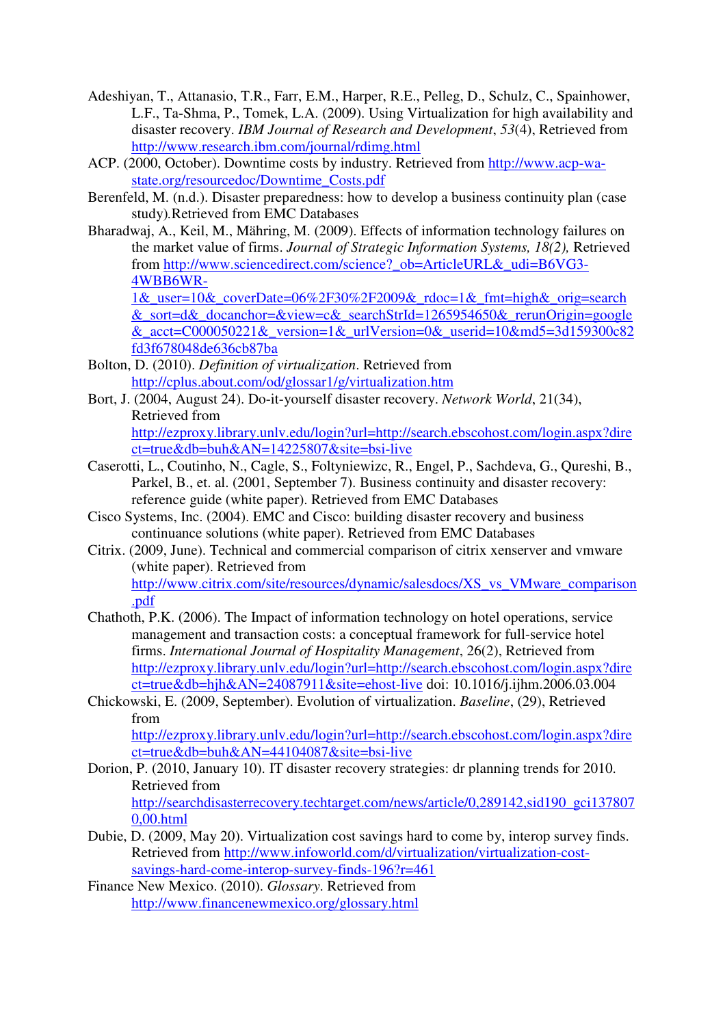- Adeshiyan, T., Attanasio, T.R., Farr, E.M., Harper, R.E., Pelleg, D., Schulz, C., Spainhower, L.F., Ta-Shma, P., Tomek, L.A. (2009). Using Virtualization for high availability and disaster recovery. *IBM Journal of Research and Development*, *53*(4), Retrieved from http://www.research.ibm.com/journal/rdimg.html
- ACP. (2000, October). Downtime costs by industry. Retrieved from http://www.acp-wastate.org/resourcedoc/Downtime\_Costs.pdf
- Berenfeld, M. (n.d.). Disaster preparedness: how to develop a business continuity plan (case study)*.*Retrieved from EMC Databases
- Bharadwaj, A., Keil, M., Mähring, M. (2009). Effects of information technology failures on the market value of firms. *Journal of Strategic Information Systems, 18(2),* Retrieved from http://www.sciencedirect.com/science? ob=ArticleURL& udi=B6VG3-4WBB6WR-

1& user=10& coverDate=06%2F30%2F2009& rdoc=1& fmt=high& orig=search &\_sort=d&\_docanchor=&view=c&\_searchStrId=1265954650&\_rerunOrigin=google &  $acct=CO00050221$ & version=1& urlVersion=0& userid=10&md5=3d159300c82 fd3f678048de636cb87ba

- Bolton, D. (2010). *Definition of virtualization*. Retrieved from http://cplus.about.com/od/glossar1/g/virtualization.htm
- Bort, J. (2004, August 24). Do-it-yourself disaster recovery. *Network World*, 21(34), Retrieved from

http://ezproxy.library.unlv.edu/login?url=http://search.ebscohost.com/login.aspx?dire ct=true&db=buh&AN=14225807&site=bsi-live

- Caserotti, L., Coutinho, N., Cagle, S., Foltyniewizc, R., Engel, P., Sachdeva, G., Qureshi, B., Parkel, B., et. al. (2001, September 7). Business continuity and disaster recovery: reference guide (white paper). Retrieved from EMC Databases
- Cisco Systems, Inc. (2004). EMC and Cisco: building disaster recovery and business continuance solutions (white paper). Retrieved from EMC Databases
- Citrix. (2009, June). Technical and commercial comparison of citrix xenserver and vmware (white paper). Retrieved from http://www.citrix.com/site/resources/dynamic/salesdocs/XS\_vs\_VMware\_comparison .pdf
- Chathoth, P.K. (2006). The Impact of information technology on hotel operations, service management and transaction costs: a conceptual framework for full-service hotel firms. *International Journal of Hospitality Management*, 26(2), Retrieved from http://ezproxy.library.unlv.edu/login?url=http://search.ebscohost.com/login.aspx?dire ct=true&db=hjh&AN=24087911&site=ehost-live doi: 10.1016/j.ijhm.2006.03.004
- Chickowski, E. (2009, September). Evolution of virtualization. *Baseline*, (29), Retrieved from http://ezproxy.library.unlv.edu/login?url=http://search.ebscohost.com/login.aspx?dire ct=true&db=buh&AN=44104087&site=bsi-live
- Dorion, P. (2010, January 10). IT disaster recovery strategies: dr planning trends for 2010. Retrieved from http://searchdisasterrecovery.techtarget.com/news/article/0,289142,sid190\_gci137807 0,00.html
- Dubie, D. (2009, May 20). Virtualization cost savings hard to come by, interop survey finds. Retrieved from http://www.infoworld.com/d/virtualization/virtualization-costsavings-hard-come-interop-survey-finds-196?r=461
- Finance New Mexico. (2010). *Glossary*. Retrieved from http://www.financenewmexico.org/glossary.html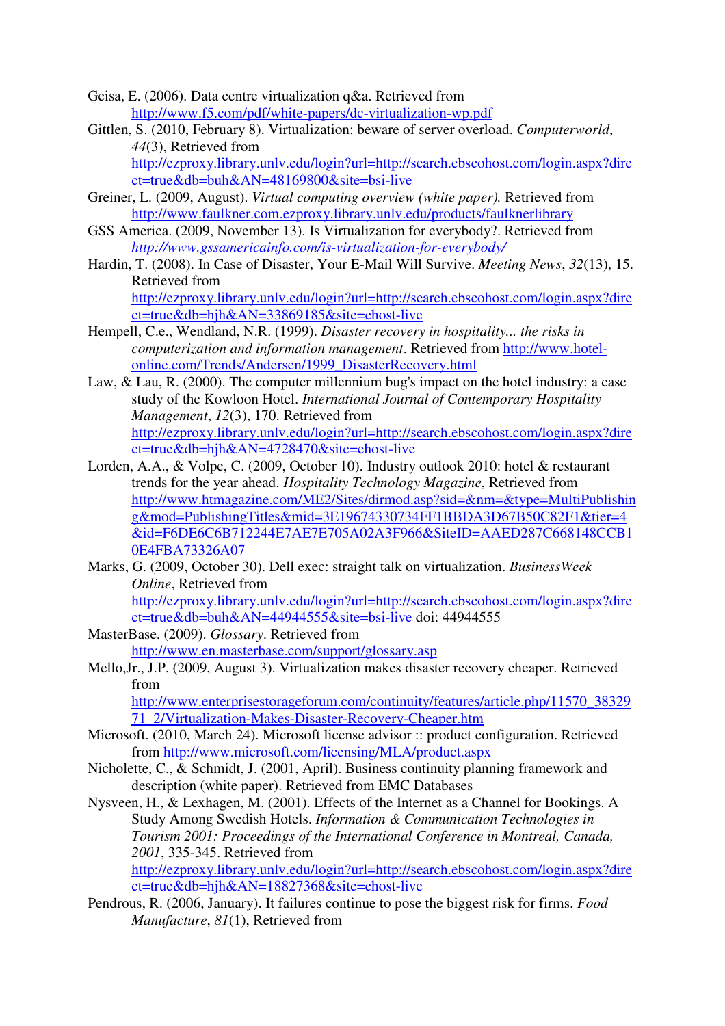- Geisa, E. (2006). Data centre virtualization q&a. Retrieved from http://www.f5.com/pdf/white-papers/dc-virtualization-wp.pdf
- Gittlen, S. (2010, February 8). Virtualization: beware of server overload. *Computerworld*, *44*(3), Retrieved from

http://ezproxy.library.unlv.edu/login?url=http://search.ebscohost.com/login.aspx?dire ct=true&db=buh&AN=48169800&site=bsi-live

- Greiner, L. (2009, August). *Virtual computing overview (white paper).* Retrieved from http://www.faulkner.com.ezproxy.library.unlv.edu/products/faulknerlibrary
- GSS America. (2009, November 13). Is Virtualization for everybody?. Retrieved from *http://www.gssamericainfo.com/is-virtualization-for-everybody/*
- Hardin, T. (2008). In Case of Disaster, Your E-Mail Will Survive. *Meeting News*, *32*(13), 15. Retrieved from

http://ezproxy.library.unlv.edu/login?url=http://search.ebscohost.com/login.aspx?dire ct=true&db=hjh&AN=33869185&site=ehost-live

- Hempell, C.e., Wendland, N.R. (1999). *Disaster recovery in hospitality... the risks in computerization and information management*. Retrieved from http://www.hotelonline.com/Trends/Andersen/1999\_DisasterRecovery.html
- Law, & Lau, R. (2000). The computer millennium bug's impact on the hotel industry: a case study of the Kowloon Hotel. *International Journal of Contemporary Hospitality Management*, *12*(3), 170. Retrieved from http://ezproxy.library.unlv.edu/login?url=http://search.ebscohost.com/login.aspx?dire ct=true&db=hjh&AN=4728470&site=ehost-live
- Lorden, A.A., & Volpe, C. (2009, October 10). Industry outlook 2010: hotel & restaurant trends for the year ahead. *Hospitality Technology Magazine*, Retrieved from http://www.htmagazine.com/ME2/Sites/dirmod.asp?sid=&nm=&type=MultiPublishin g&mod=PublishingTitles&mid=3E19674330734FF1BBDA3D67B50C82F1&tier=4 &id=F6DE6C6B712244E7AE7E705A02A3F966&SiteID=AAED287C668148CCB1 0E4FBA73326A07
- Marks, G. (2009, October 30). Dell exec: straight talk on virtualization. *BusinessWeek Online*, Retrieved from http://ezproxy.library.unlv.edu/login?url=http://search.ebscohost.com/login.aspx?dire ct=true&db=buh&AN=44944555&site=bsi-live doi: 44944555
- MasterBase. (2009). *Glossary*. Retrieved from http://www.en.masterbase.com/support/glossary.asp
- Mello,Jr., J.P. (2009, August 3). Virtualization makes disaster recovery cheaper. Retrieved from

http://www.enterprisestorageforum.com/continuity/features/article.php/11570\_38329 71\_2/Virtualization-Makes-Disaster-Recovery-Cheaper.htm

- Microsoft. (2010, March 24). Microsoft license advisor :: product configuration. Retrieved from http://www.microsoft.com/licensing/MLA/product.aspx
- Nicholette, C., & Schmidt, J. (2001, April). Business continuity planning framework and description (white paper). Retrieved from EMC Databases

Nysveen, H., & Lexhagen, M. (2001). Effects of the Internet as a Channel for Bookings. A Study Among Swedish Hotels. *Information & Communication Technologies in Tourism 2001: Proceedings of the International Conference in Montreal, Canada, 2001*, 335-345. Retrieved from http://ezproxy.library.unlv.edu/login?url=http://search.ebscohost.com/login.aspx?dire ct=true&db=hjh&AN=18827368&site=ehost-live

Pendrous, R. (2006, January). It failures continue to pose the biggest risk for firms. *Food Manufacture*, *81*(1), Retrieved from